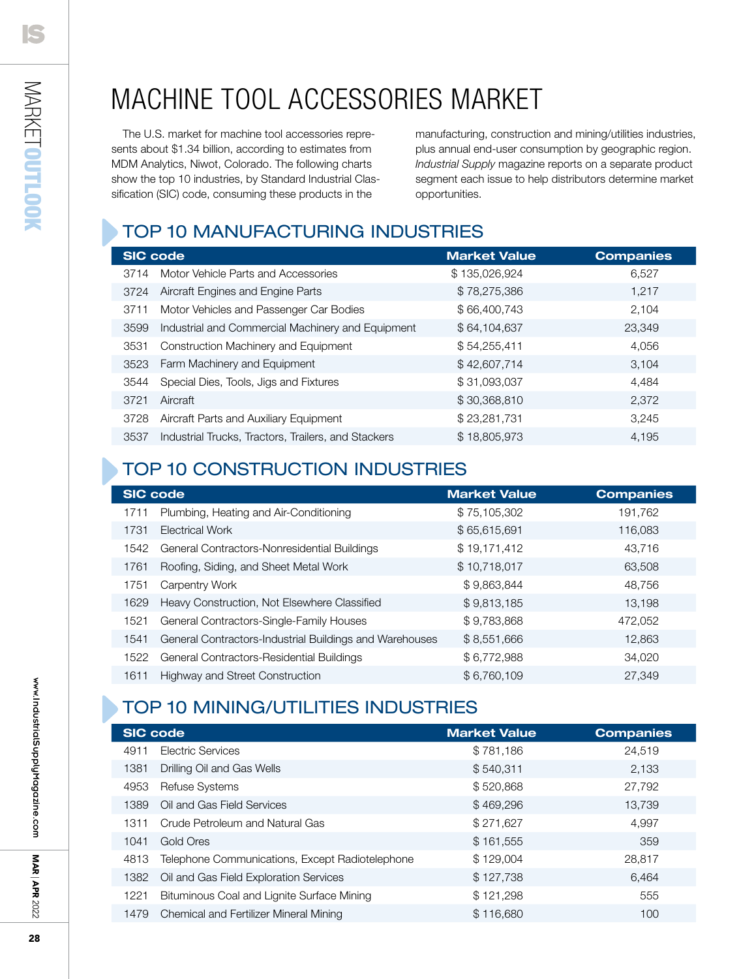## machine tool accessories market

The U.S. market for machine tool accessories represents about \$1.34 billion, according to estimates from MDM Analytics, Niwot, Colorado. The following charts show the top 10 industries, by Standard Industrial Classification (SIC) code, consuming these products in the

manufacturing, construction and mining/utilities industries, plus annual end-user consumption by geographic region. *Industrial Supply* magazine reports on a separate product segment each issue to help distributors determine market opportunities.

### Top 10 MANUFACTURING Industries

| <b>SIC code</b> |                                                     | <b>Market Value</b> | <b>Companies</b> |
|-----------------|-----------------------------------------------------|---------------------|------------------|
| 3714            | Motor Vehicle Parts and Accessories                 | \$135,026,924       | 6,527            |
| 3724            | Aircraft Engines and Engine Parts                   | \$78,275,386        | 1.217            |
| 3711            | Motor Vehicles and Passenger Car Bodies             | \$66,400,743        | 2,104            |
| 3599            | Industrial and Commercial Machinery and Equipment   | \$64,104,637        | 23,349           |
| 3531            | Construction Machinery and Equipment                | \$54,255,411        | 4.056            |
| 3523            | Farm Machinery and Equipment                        | \$42,607,714        | 3,104            |
| 3544            | Special Dies, Tools, Jigs and Fixtures              | \$31,093,037        | 4.484            |
| 3721            | Aircraft                                            | \$30,368,810        | 2,372            |
| 3728            | Aircraft Parts and Auxiliary Equipment              | \$23,281,731        | 3,245            |
| 3537            | Industrial Trucks, Tractors, Trailers, and Stackers | \$18,805,973        | 4.195            |

### Top 10 CONSTRUCTION Industries

| <b>SIC code</b> |                                                         | <b>Market Value</b> | <b>Companies</b> |
|-----------------|---------------------------------------------------------|---------------------|------------------|
| 1711            | Plumbing, Heating and Air-Conditioning                  | \$75,105,302        | 191,762          |
| 1731            | Electrical Work                                         | \$65,615,691        | 116,083          |
| 1542            | General Contractors-Nonresidential Buildings            | \$19,171,412        | 43,716           |
| 1761            | Roofing, Siding, and Sheet Metal Work                   | \$10,718,017        | 63,508           |
| 1751            | Carpentry Work                                          | \$9,863,844         | 48,756           |
| 1629            | Heavy Construction, Not Elsewhere Classified            | \$9,813,185         | 13,198           |
| 1521            | General Contractors-Single-Family Houses                | \$9,783,868         | 472,052          |
| 1541            | General Contractors-Industrial Buildings and Warehouses | \$8,551,666         | 12,863           |
| 1522            | General Contractors-Residential Buildings               | \$6,772,988         | 34.020           |
| 1611            | Highway and Street Construction                         | \$6,760,109         | 27,349           |

### Top 10 Mining/Utilities Industries

| <b>SIC code</b> |                                                 | <b>Market Value</b> | <b>Companies</b> |
|-----------------|-------------------------------------------------|---------------------|------------------|
| 4911            | Electric Services                               | \$781,186           | 24.519           |
| 1381            | Drilling Oil and Gas Wells                      | \$540.311           | 2.133            |
| 4953            | <b>Refuse Systems</b>                           | \$520,868           | 27,792           |
| 1389            | Oil and Gas Field Services                      | \$469,296           | 13,739           |
| 1311            | Crude Petroleum and Natural Gas                 | \$271,627           | 4.997            |
| 1041            | Gold Ores                                       | \$161,555           | 359              |
| 4813            | Telephone Communications, Except Radiotelephone | \$129,004           | 28,817           |
| 1382            | Oil and Gas Field Exploration Services          | \$127,738           | 6.464            |
| 1221            | Bituminous Coal and Lignite Surface Mining      | \$121,298           | 555              |
| 1479            | Chemical and Fertilizer Mineral Mining          | \$116,680           | 100              |